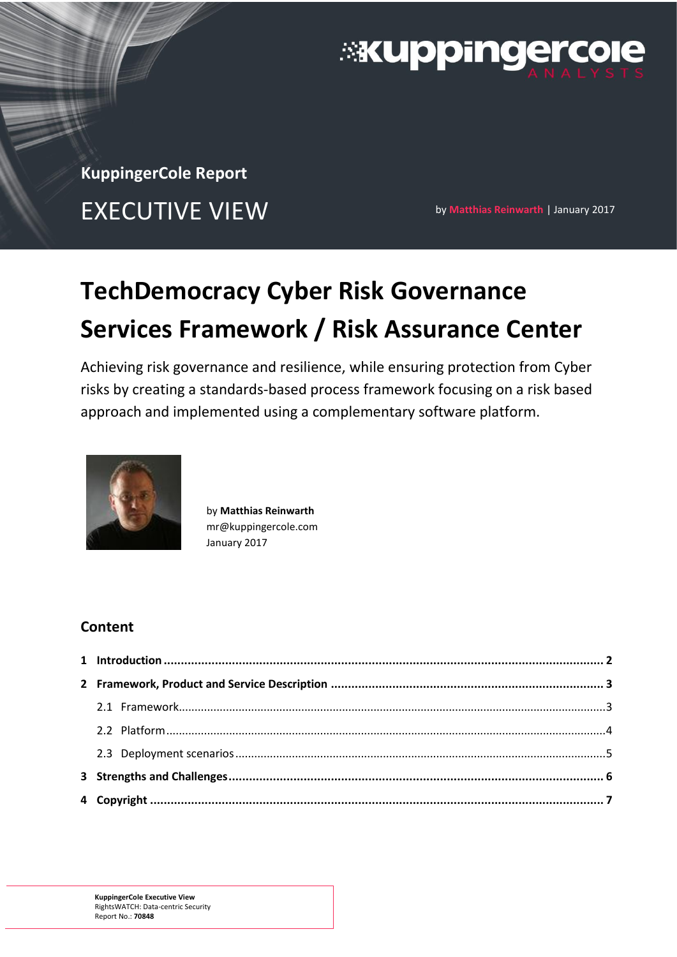

**KuppingerCole Report** EXECUTIVE VIEW **by Matthias Reinwarth | January 2017** 

# **TechDemocracy Cyber Risk Governance Services Framework / Risk Assurance Center**

Achieving risk governance and resilience, while ensuring protection from Cyber risks by creating a standards-based process framework focusing on a risk based approach and implemented using a complementary software platform.



by **Matthias Reinwarth** mr@kuppingercole.com January 2017

# **Content**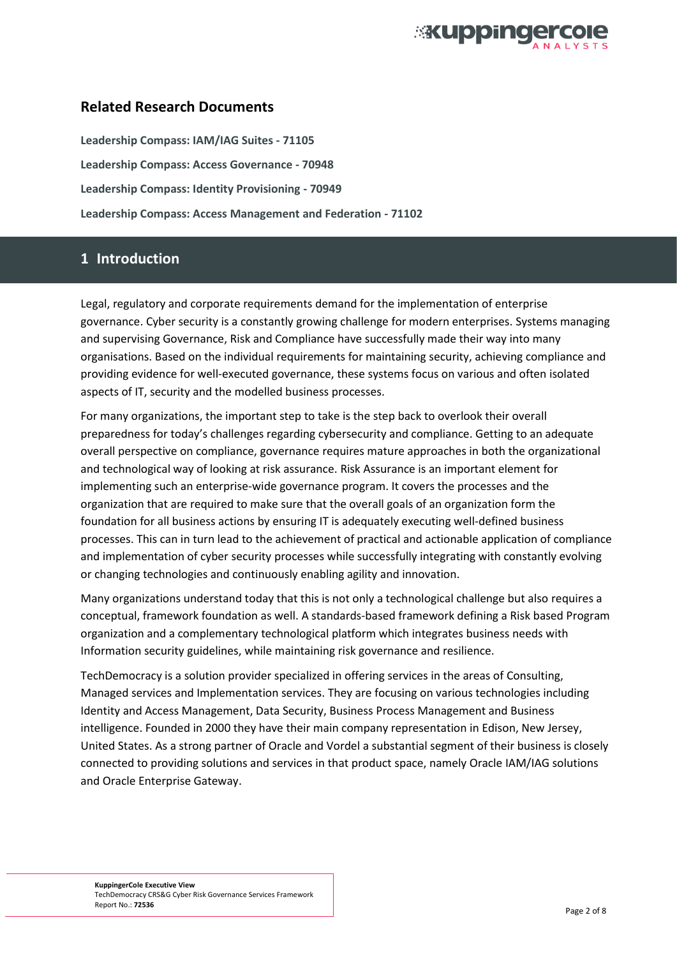

## **Related Research Documents**

**[Leadership Compass: IAM/IAG Suites -](https://www.kuppingercole.com/report/lc71105) 71105 [Leadership Compass: Access Governance -](https://www.kuppingercole.com/report/lc70948) 70948 [Leadership Compass: Identity Provisioning -](https://www.kuppingercole.com/report/lc70949) 70949 [Leadership Compass: Access Management and Federation -](https://www.kuppingercole.com/report/lc71102) 71102**

## **1 Introduction**

Legal, regulatory and corporate requirements demand for the implementation of enterprise governance. Cyber security is a constantly growing challenge for modern enterprises. Systems managing and supervising Governance, Risk and Compliance have successfully made their way into many organisations. Based on the individual requirements for maintaining security, achieving compliance and providing evidence for well-executed governance, these systems focus on various and often isolated aspects of IT, security and the modelled business processes.

For many organizations, the important step to take is the step back to overlook their overall preparedness for today's challenges regarding cybersecurity and compliance. Getting to an adequate overall perspective on compliance, governance requires mature approaches in both the organizational and technological way of looking at risk assurance. Risk Assurance is an important element for implementing such an enterprise-wide governance program. It covers the processes and the organization that are required to make sure that the overall goals of an organization form the foundation for all business actions by ensuring IT is adequately executing well-defined business processes. This can in turn lead to the achievement of practical and actionable application of compliance and implementation of cyber security processes while successfully integrating with constantly evolving or changing technologies and continuously enabling agility and innovation.

Many organizations understand today that this is not only a technological challenge but also requires a conceptual, framework foundation as well. A standards-based framework defining a Risk based Program organization and a complementary technological platform which integrates business needs with Information security guidelines, while maintaining risk governance and resilience.

TechDemocracy is a solution provider specialized in offering services in the areas of Consulting, Managed services and Implementation services. They are focusing on various technologies including Identity and Access Management, Data Security, Business Process Management and Business intelligence. Founded in 2000 they have their main company representation in Edison, New Jersey, United States. As a strong partner of Oracle and Vordel a substantial segment of their business is closely connected to providing solutions and services in that product space, namely Oracle IAM/IAG solutions and Oracle Enterprise Gateway.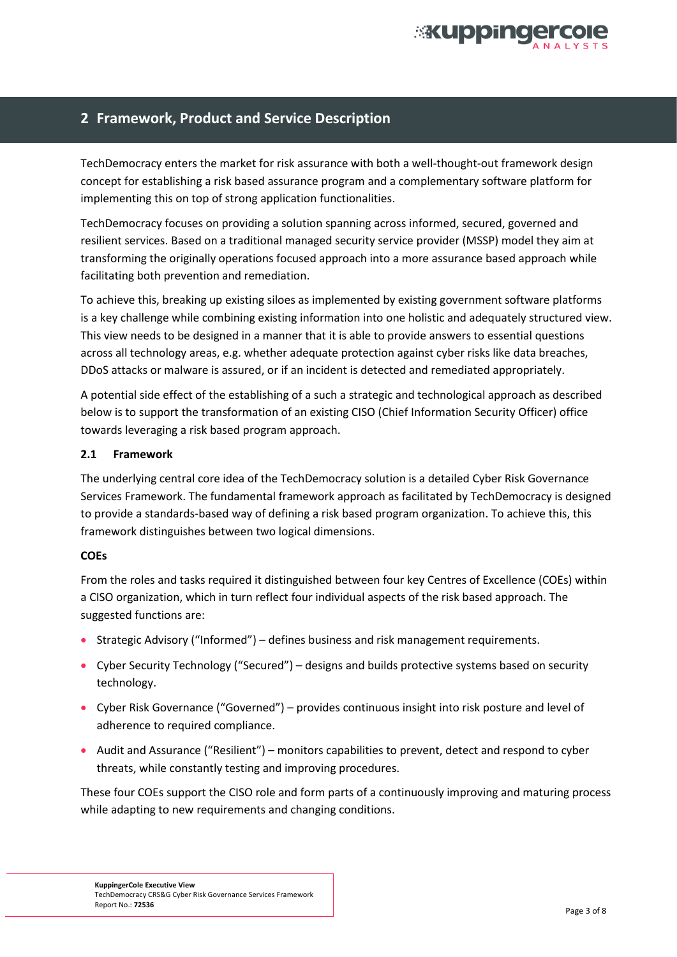

## **2 Framework, Product and Service Description**

TechDemocracy enters the market for risk assurance with both a well-thought-out framework design concept for establishing a risk based assurance program and a complementary software platform for implementing this on top of strong application functionalities.

TechDemocracy focuses on providing a solution spanning across informed, secured, governed and resilient services. Based on a traditional managed security service provider (MSSP) model they aim at transforming the originally operations focused approach into a more assurance based approach while facilitating both prevention and remediation.

To achieve this, breaking up existing siloes as implemented by existing government software platforms is a key challenge while combining existing information into one holistic and adequately structured view. This view needs to be designed in a manner that it is able to provide answers to essential questions across all technology areas, e.g. whether adequate protection against cyber risks like data breaches, DDoS attacks or malware is assured, or if an incident is detected and remediated appropriately.

A potential side effect of the establishing of a such a strategic and technological approach as described below is to support the transformation of an existing CISO (Chief Information Security Officer) office towards leveraging a risk based program approach.

#### **2.1 Framework**

The underlying central core idea of the TechDemocracy solution is a detailed Cyber Risk Governance Services Framework. The fundamental framework approach as facilitated by TechDemocracy is designed to provide a standards-based way of defining a risk based program organization. To achieve this, this framework distinguishes between two logical dimensions.

#### **COEs**

From the roles and tasks required it distinguished between four key Centres of Excellence (COEs) within a CISO organization, which in turn reflect four individual aspects of the risk based approach. The suggested functions are:

- **Strategic Advisory ("Informed")** defines business and risk management requirements.
- Cyber Security Technology ("Secured") designs and builds protective systems based on security technology.
- Cyber Risk Governance ("Governed") provides continuous insight into risk posture and level of adherence to required compliance.
- Audit and Assurance ("Resilient") monitors capabilities to prevent, detect and respond to cyber threats, while constantly testing and improving procedures.

These four COEs support the CISO role and form parts of a continuously improving and maturing process while adapting to new requirements and changing conditions.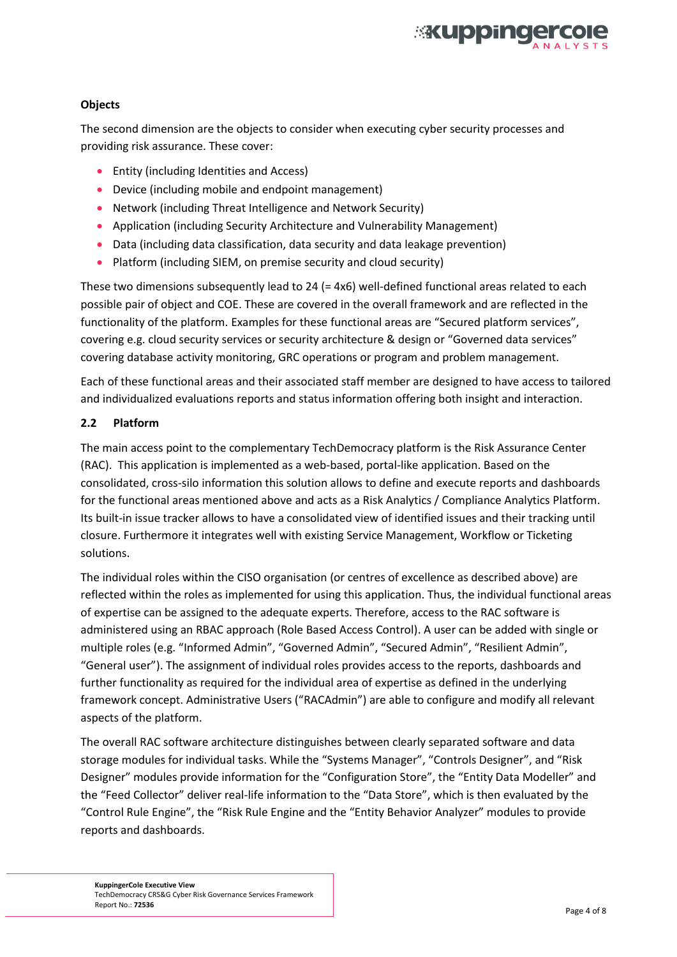

#### **Objects**

The second dimension are the objects to consider when executing cyber security processes and providing risk assurance. These cover:

- **•** Entity (including Identities and Access)
- Device (including mobile and endpoint management)
- Network (including Threat Intelligence and Network Security)
- Application (including Security Architecture and Vulnerability Management)
- Data (including data classification, data security and data leakage prevention)
- Platform (including SIEM, on premise security and cloud security)

These two dimensions subsequently lead to 24 (= 4x6) well-defined functional areas related to each possible pair of object and COE. These are covered in the overall framework and are reflected in the functionality of the platform. Examples for these functional areas are "Secured platform services", covering e.g. cloud security services or security architecture & design or "Governed data services" covering database activity monitoring, GRC operations or program and problem management.

Each of these functional areas and their associated staff member are designed to have access to tailored and individualized evaluations reports and status information offering both insight and interaction.

#### **2.2 Platform**

The main access point to the complementary TechDemocracy platform is the Risk Assurance Center (RAC). This application is implemented as a web-based, portal-like application. Based on the consolidated, cross-silo information this solution allows to define and execute reports and dashboards for the functional areas mentioned above and acts as a Risk Analytics / Compliance Analytics Platform. Its built-in issue tracker allows to have a consolidated view of identified issues and their tracking until closure. Furthermore it integrates well with existing Service Management, Workflow or Ticketing solutions.

The individual roles within the CISO organisation (or centres of excellence as described above) are reflected within the roles as implemented for using this application. Thus, the individual functional areas of expertise can be assigned to the adequate experts. Therefore, access to the RAC software is administered using an RBAC approach (Role Based Access Control). A user can be added with single or multiple roles (e.g. "Informed Admin", "Governed Admin", "Secured Admin", "Resilient Admin", "General user"). The assignment of individual roles provides access to the reports, dashboards and further functionality as required for the individual area of expertise as defined in the underlying framework concept. Administrative Users ("RACAdmin") are able to configure and modify all relevant aspects of the platform.

The overall RAC software architecture distinguishes between clearly separated software and data storage modules for individual tasks. While the "Systems Manager", "Controls Designer", and "Risk Designer" modules provide information for the "Configuration Store", the "Entity Data Modeller" and the "Feed Collector" deliver real-life information to the "Data Store", which is then evaluated by the "Control Rule Engine", the "Risk Rule Engine and the "Entity Behavior Analyzer" modules to provide reports and dashboards.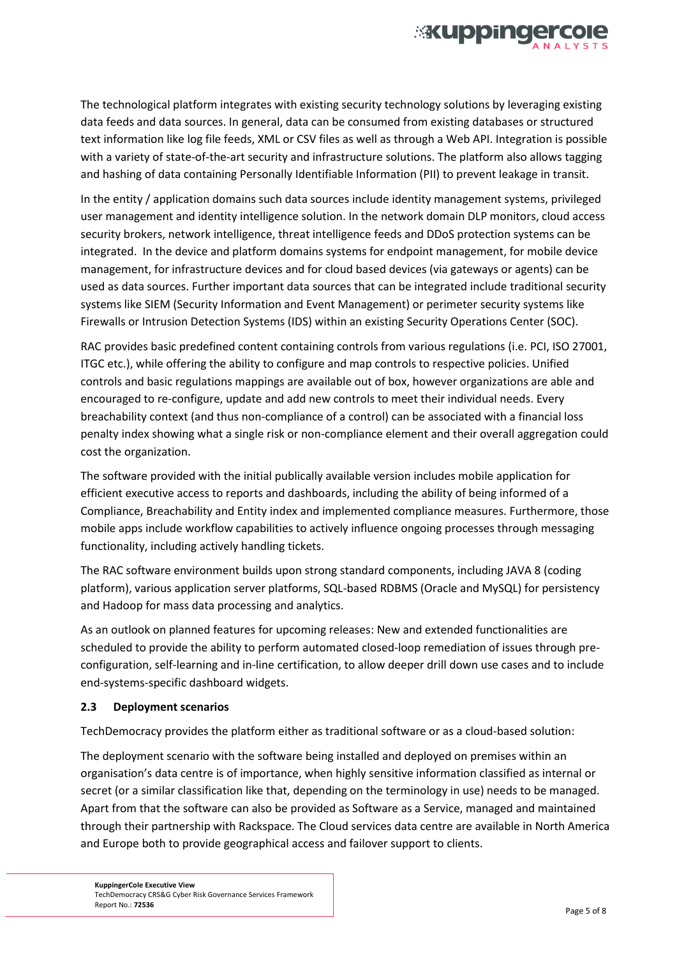

The technological platform integrates with existing security technology solutions by leveraging existing data feeds and data sources. In general, data can be consumed from existing databases or structured text information like log file feeds, XML or CSV files as well as through a Web API. Integration is possible with a variety of state-of-the-art security and infrastructure solutions. The platform also allows tagging and hashing of data containing Personally Identifiable Information (PII) to prevent leakage in transit.

In the entity / application domains such data sources include identity management systems, privileged user management and identity intelligence solution. In the network domain DLP monitors, cloud access security brokers, network intelligence, threat intelligence feeds and DDoS protection systems can be integrated. In the device and platform domains systems for endpoint management, for mobile device management, for infrastructure devices and for cloud based devices (via gateways or agents) can be used as data sources. Further important data sources that can be integrated include traditional security systems like SIEM (Security Information and Event Management) or perimeter security systems like Firewalls or Intrusion Detection Systems (IDS) within an existing Security Operations Center (SOC).

RAC provides basic predefined content containing controls from various regulations (i.e. PCI, ISO 27001, ITGC etc.), while offering the ability to configure and map controls to respective policies. Unified controls and basic regulations mappings are available out of box, however organizations are able and encouraged to re-configure, update and add new controls to meet their individual needs. Every breachability context (and thus non-compliance of a control) can be associated with a financial loss penalty index showing what a single risk or non-compliance element and their overall aggregation could cost the organization.

The software provided with the initial publically available version includes mobile application for efficient executive access to reports and dashboards, including the ability of being informed of a Compliance, Breachability and Entity index and implemented compliance measures. Furthermore, those mobile apps include workflow capabilities to actively influence ongoing processes through messaging functionality, including actively handling tickets.

The RAC software environment builds upon strong standard components, including JAVA 8 (coding platform), various application server platforms, SQL-based RDBMS (Oracle and MySQL) for persistency and Hadoop for mass data processing and analytics.

As an outlook on planned features for upcoming releases: New and extended functionalities are scheduled to provide the ability to perform automated closed-loop remediation of issues through preconfiguration, self-learning and in-line certification, to allow deeper drill down use cases and to include end-systems-specific dashboard widgets.

#### **2.3 Deployment scenarios**

TechDemocracy provides the platform either as traditional software or as a cloud-based solution:

The deployment scenario with the software being installed and deployed on premises within an organisation's data centre is of importance, when highly sensitive information classified as internal or secret (or a similar classification like that, depending on the terminology in use) needs to be managed. Apart from that the software can also be provided as Software as a Service, managed and maintained through their partnership with Rackspace. The Cloud services data centre are available in North America and Europe both to provide geographical access and failover support to clients.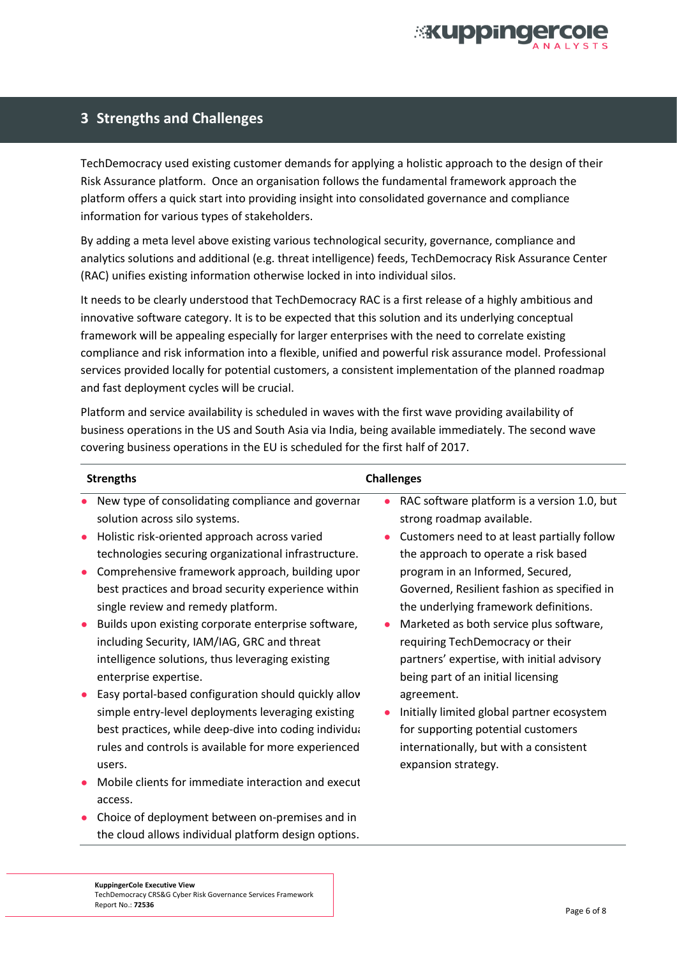

## **3 Strengths and Challenges**

TechDemocracy used existing customer demands for applying a holistic approach to the design of their Risk Assurance platform. Once an organisation follows the fundamental framework approach the platform offers a quick start into providing insight into consolidated governance and compliance information for various types of stakeholders.

By adding a meta level above existing various technological security, governance, compliance and analytics solutions and additional (e.g. threat intelligence) feeds, TechDemocracy Risk Assurance Center (RAC) unifies existing information otherwise locked in into individual silos.

It needs to be clearly understood that TechDemocracy RAC is a first release of a highly ambitious and innovative software category. It is to be expected that this solution and its underlying conceptual framework will be appealing especially for larger enterprises with the need to correlate existing compliance and risk information into a flexible, unified and powerful risk assurance model. Professional services provided locally for potential customers, a consistent implementation of the planned roadmap and fast deployment cycles will be crucial.

Platform and service availability is scheduled in waves with the first wave providing availability of business operations in the US and South Asia via India, being available immediately. The second wave covering business operations in the EU is scheduled for the first half of 2017.

| <b>Strengths</b>                                                                                                                                                                                                                                                         | <b>Challenges</b>                                                                                                                                                                                   |  |
|--------------------------------------------------------------------------------------------------------------------------------------------------------------------------------------------------------------------------------------------------------------------------|-----------------------------------------------------------------------------------------------------------------------------------------------------------------------------------------------------|--|
| New type of consolidating compliance and governar<br>solution across silo systems.<br>Holistic risk-oriented approach across varied<br>$\bullet$<br>technologies securing organizational infrastructure.<br>Comprehensive framework approach, building upor<br>$\bullet$ | RAC software platform is a version 1.0, but<br>strong roadmap available.<br>Customers need to at least partially follow<br>the approach to operate a risk based<br>program in an Informed, Secured, |  |
| best practices and broad security experience within<br>single review and remedy platform.                                                                                                                                                                                | Governed, Resilient fashion as specified in<br>the underlying framework definitions.                                                                                                                |  |
| Builds upon existing corporate enterprise software,<br>$\bullet$<br>including Security, IAM/IAG, GRC and threat<br>intelligence solutions, thus leveraging existing<br>enterprise expertise.                                                                             | Marketed as both service plus software,<br>requiring TechDemocracy or their<br>partners' expertise, with initial advisory<br>being part of an initial licensing                                     |  |
| Easy portal-based configuration should quickly allov<br>simple entry-level deployments leveraging existing<br>best practices, while deep-dive into coding individua<br>rules and controls is available for more experienced<br>users.                                    | agreement.<br>Initially limited global partner ecosystem<br>for supporting potential customers<br>internationally, but with a consistent<br>expansion strategy.                                     |  |
| Mobile clients for immediate interaction and execut<br>access.                                                                                                                                                                                                           |                                                                                                                                                                                                     |  |
| Choice of deployment between on-premises and in<br>the cloud allows individual platform design options.                                                                                                                                                                  |                                                                                                                                                                                                     |  |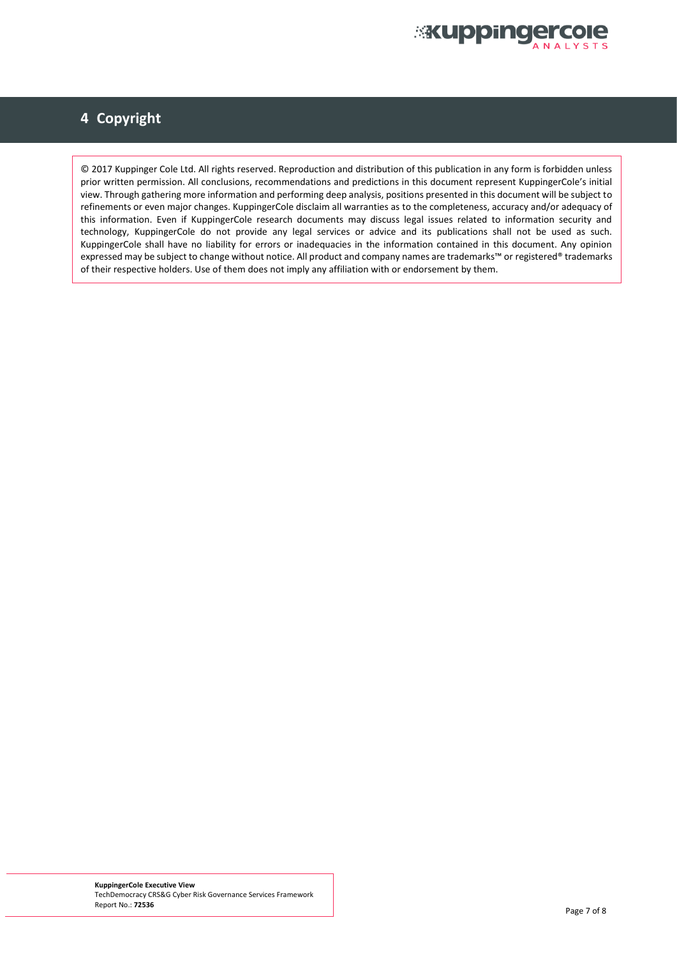

# **4 Copyright**

© 2017 Kuppinger Cole Ltd. All rights reserved. Reproduction and distribution of this publication in any form is forbidden unless prior written permission. All conclusions, recommendations and predictions in this document represent KuppingerCole's initial view. Through gathering more information and performing deep analysis, positions presented in this document will be subject to refinements or even major changes. KuppingerCole disclaim all warranties as to the completeness, accuracy and/or adequacy of this information. Even if KuppingerCole research documents may discuss legal issues related to information security and technology, KuppingerCole do not provide any legal services or advice and its publications shall not be used as such. KuppingerCole shall have no liability for errors or inadequacies in the information contained in this document. Any opinion expressed may be subject to change without notice. All product and company names are trademarks™ or registered® trademarks of their respective holders. Use of them does not imply any affiliation with or endorsement by them.